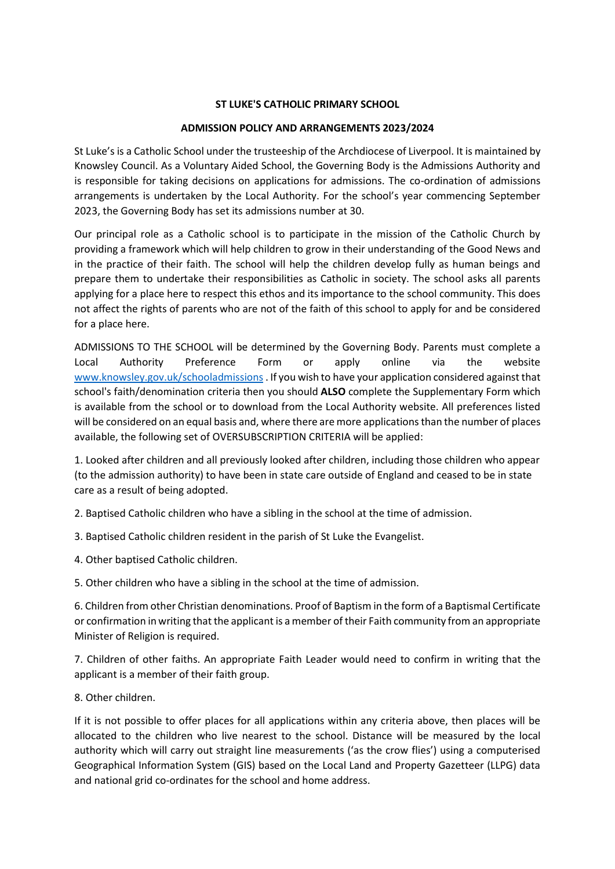### **ST LUKE'S CATHOLIC PRIMARY SCHOOL**

#### **ADMISSION POLICY AND ARRANGEMENTS 2023/2024**

St Luke's is a Catholic School under the trusteeship of the Archdiocese of Liverpool. It is maintained by Knowsley Council. As a Voluntary Aided School, the Governing Body is the Admissions Authority and is responsible for taking decisions on applications for admissions. The co-ordination of admissions arrangements is undertaken by the Local Authority. For the school's year commencing September 2023, the Governing Body has set its admissions number at 30.

Our principal role as a Catholic school is to participate in the mission of the Catholic Church by providing a framework which will help children to grow in their understanding of the Good News and in the practice of their faith. The school will help the children develop fully as human beings and prepare them to undertake their responsibilities as Catholic in society. The school asks all parents applying for a place here to respect this ethos and its importance to the school community. This does not affect the rights of parents who are not of the faith of this school to apply for and be considered for a place here.

ADMISSIONS TO THE SCHOOL will be determined by the Governing Body. Parents must complete a Local Authority Preference Form or apply online via the website [www.knowsley.gov.uk/schooladmissions](http://www.knowsley.gov.uk/schooladmissions). If you wish to have your application considered against that school's faith/denomination criteria then you should **ALSO** complete the Supplementary Form which is available from the school or to download from the Local Authority website. All preferences listed will be considered on an equal basis and, where there are more applications than the number of places available, the following set of OVERSUBSCRIPTION CRITERIA will be applied:

1. Looked after children and all previously looked after children, including those children who appear (to the admission authority) to have been in state care outside of England and ceased to be in state care as a result of being adopted.

2. Baptised Catholic children who have a sibling in the school at the time of admission.

3. Baptised Catholic children resident in the parish of St Luke the Evangelist.

4. Other baptised Catholic children.

5. Other children who have a sibling in the school at the time of admission.

6. Children from other Christian denominations. Proof of Baptism in the form of a Baptismal Certificate or confirmation in writing that the applicant is a member of their Faith community from an appropriate Minister of Religion is required.

7. Children of other faiths. An appropriate Faith Leader would need to confirm in writing that the applicant is a member of their faith group.

8. Other children.

If it is not possible to offer places for all applications within any criteria above, then places will be allocated to the children who live nearest to the school. Distance will be measured by the local authority which will carry out straight line measurements ('as the crow flies') using a computerised Geographical Information System (GIS) based on the Local Land and Property Gazetteer (LLPG) data and national grid co-ordinates for the school and home address.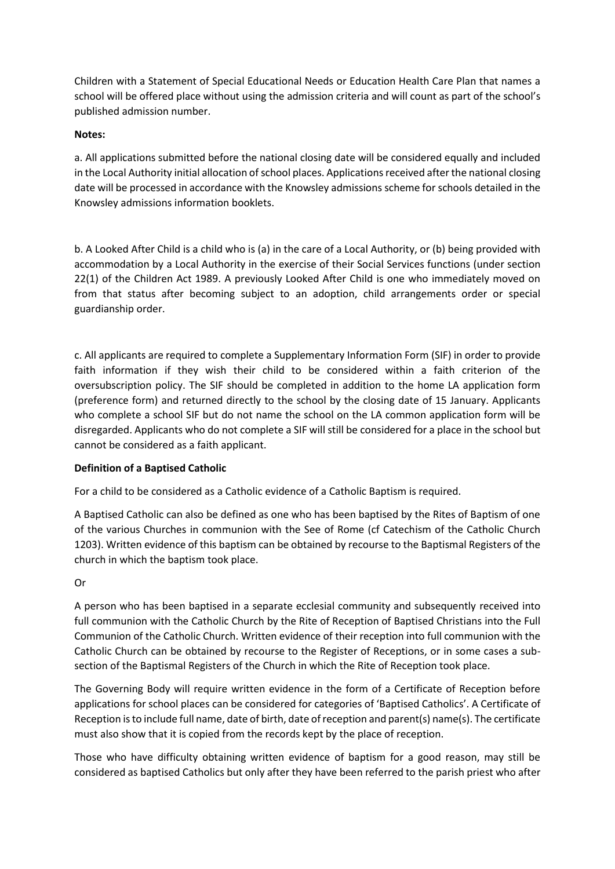Children with a Statement of Special Educational Needs or Education Health Care Plan that names a school will be offered place without using the admission criteria and will count as part of the school's published admission number.

## **Notes:**

a. All applications submitted before the national closing date will be considered equally and included in the Local Authority initial allocation of school places. Applications received after the national closing date will be processed in accordance with the Knowsley admissions scheme for schools detailed in the Knowsley admissions information booklets.

b. A Looked After Child is a child who is (a) in the care of a Local Authority, or (b) being provided with accommodation by a Local Authority in the exercise of their Social Services functions (under section 22(1) of the Children Act 1989. A previously Looked After Child is one who immediately moved on from that status after becoming subject to an adoption, child arrangements order or special guardianship order.

c. All applicants are required to complete a Supplementary Information Form (SIF) in order to provide faith information if they wish their child to be considered within a faith criterion of the oversubscription policy. The SIF should be completed in addition to the home LA application form (preference form) and returned directly to the school by the closing date of 15 January. Applicants who complete a school SIF but do not name the school on the LA common application form will be disregarded. Applicants who do not complete a SIF will still be considered for a place in the school but cannot be considered as a faith applicant.

# **Definition of a Baptised Catholic**

For a child to be considered as a Catholic evidence of a Catholic Baptism is required.

A Baptised Catholic can also be defined as one who has been baptised by the Rites of Baptism of one of the various Churches in communion with the See of Rome (cf Catechism of the Catholic Church 1203). Written evidence of this baptism can be obtained by recourse to the Baptismal Registers of the church in which the baptism took place.

### Or

A person who has been baptised in a separate ecclesial community and subsequently received into full communion with the Catholic Church by the Rite of Reception of Baptised Christians into the Full Communion of the Catholic Church. Written evidence of their reception into full communion with the Catholic Church can be obtained by recourse to the Register of Receptions, or in some cases a subsection of the Baptismal Registers of the Church in which the Rite of Reception took place.

The Governing Body will require written evidence in the form of a Certificate of Reception before applications for school places can be considered for categories of 'Baptised Catholics'. A Certificate of Reception is to include full name, date of birth, date of reception and parent(s) name(s). The certificate must also show that it is copied from the records kept by the place of reception.

Those who have difficulty obtaining written evidence of baptism for a good reason, may still be considered as baptised Catholics but only after they have been referred to the parish priest who after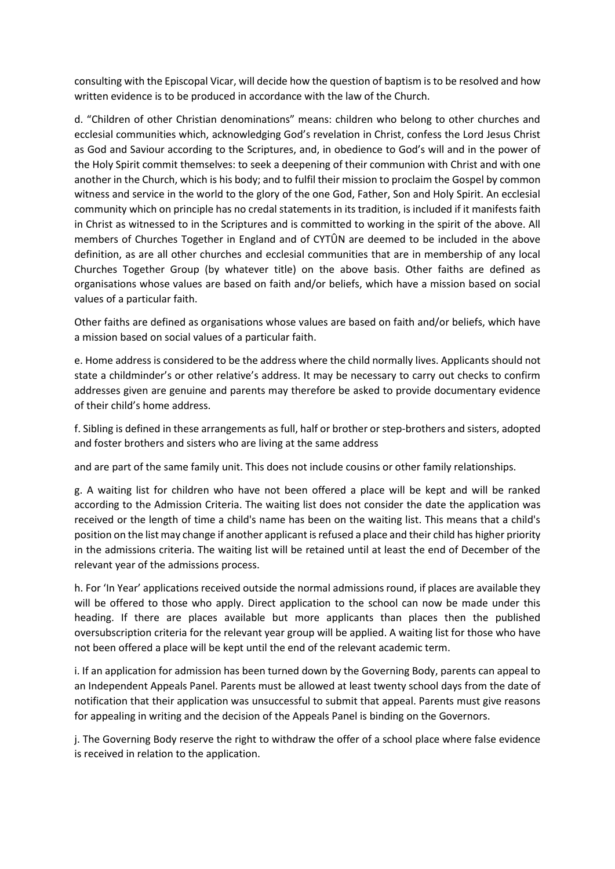consulting with the Episcopal Vicar, will decide how the question of baptism is to be resolved and how written evidence is to be produced in accordance with the law of the Church.

d. "Children of other Christian denominations" means: children who belong to other churches and ecclesial communities which, acknowledging God's revelation in Christ, confess the Lord Jesus Christ as God and Saviour according to the Scriptures, and, in obedience to God's will and in the power of the Holy Spirit commit themselves: to seek a deepening of their communion with Christ and with one another in the Church, which is his body; and to fulfil their mission to proclaim the Gospel by common witness and service in the world to the glory of the one God, Father, Son and Holy Spirit. An ecclesial community which on principle has no credal statements in its tradition, is included if it manifests faith in Christ as witnessed to in the Scriptures and is committed to working in the spirit of the above. All members of Churches Together in England and of CYTÛN are deemed to be included in the above definition, as are all other churches and ecclesial communities that are in membership of any local Churches Together Group (by whatever title) on the above basis. Other faiths are defined as organisations whose values are based on faith and/or beliefs, which have a mission based on social values of a particular faith.

Other faiths are defined as organisations whose values are based on faith and/or beliefs, which have a mission based on social values of a particular faith.

e. Home address is considered to be the address where the child normally lives. Applicants should not state a childminder's or other relative's address. It may be necessary to carry out checks to confirm addresses given are genuine and parents may therefore be asked to provide documentary evidence of their child's home address.

f. Sibling is defined in these arrangements as full, half or brother or step-brothers and sisters, adopted and foster brothers and sisters who are living at the same address

and are part of the same family unit. This does not include cousins or other family relationships.

g. A waiting list for children who have not been offered a place will be kept and will be ranked according to the Admission Criteria. The waiting list does not consider the date the application was received or the length of time a child's name has been on the waiting list. This means that a child's position on the list may change if another applicant is refused a place and their child has higher priority in the admissions criteria. The waiting list will be retained until at least the end of December of the relevant year of the admissions process.

h. For 'In Year' applications received outside the normal admissions round, if places are available they will be offered to those who apply. Direct application to the school can now be made under this heading. If there are places available but more applicants than places then the published oversubscription criteria for the relevant year group will be applied. A waiting list for those who have not been offered a place will be kept until the end of the relevant academic term.

i. If an application for admission has been turned down by the Governing Body, parents can appeal to an Independent Appeals Panel. Parents must be allowed at least twenty school days from the date of notification that their application was unsuccessful to submit that appeal. Parents must give reasons for appealing in writing and the decision of the Appeals Panel is binding on the Governors.

j. The Governing Body reserve the right to withdraw the offer of a school place where false evidence is received in relation to the application.